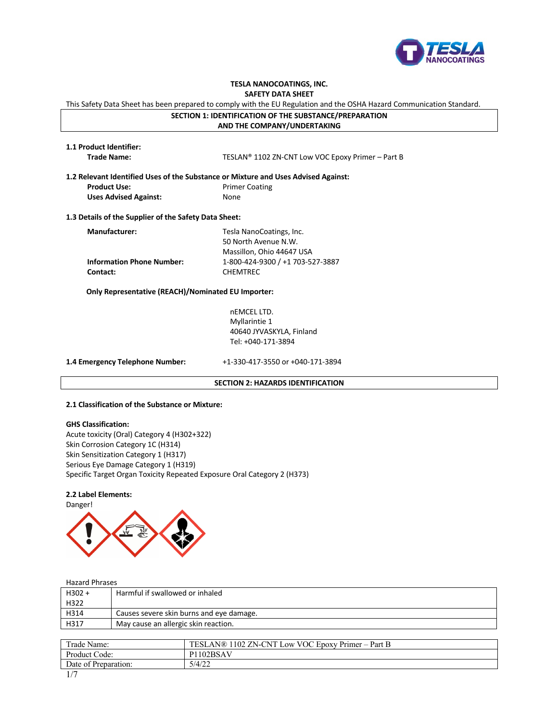

# **TESLA NANOCOATINGS, INC.**

**SAFETY DATA SHEET**

This Safety Data Sheet has been prepared to comply with the EU Regulation and the OSHA Hazard Communication Standard.

# **SECTION 1: IDENTIFICATION OF THE SUBSTANCE/PREPARATION**

**AND THE COMPANY/UNDERTAKING**

| 1.1 Product Identifier: |  |
|-------------------------|--|
| Trade Name:             |  |

**Trade Name:** TESLAN® 1102 ZN-CNT Low VOC Epoxy Primer – Part B

**1.2 Relevant Identified Uses of the Substance or Mixture and Uses Advised Against: Product Use:** Primer Coating **Uses Advised Against:** None

**1.3 Details of the Supplier of the Safety Data Sheet:**

| <b>Manufacturer:</b>             | Tesla NanoCoatings, Inc.         |
|----------------------------------|----------------------------------|
|                                  | 50 North Avenue N.W.             |
|                                  | Massillon, Ohio 44647 USA        |
| <b>Information Phone Number:</b> | 1-800-424-9300 / +1 703-527-3887 |
| Contact:                         | <b>CHEMTREC</b>                  |

 **Only Representative (REACH)/Nominated EU Importer:**

nEMCEL LTD. Myllarintie 1 40640 JYVASKYLA, Finland Tel: +040-171-3894

**1.4 Emergency Telephone Number:** +1-330-417-3550 or +040-171-3894

# **SECTION 2: HAZARDS IDENTIFICATION**

### **2.1 Classification of the Substance or Mixture:**

### **GHS Classification:**

Acute toxicity (Oral) Category 4 (H302+322) Skin Corrosion Category 1C (H314) Skin Sensitization Category 1 (H317) Serious Eye Damage Category 1 (H319) Specific Target Organ Toxicity Repeated Exposure Oral Category 2 (H373)

# **2.2 Label Elements:**



Danger!



Hazard Phrases

| $H302 +$ | Harmful if swallowed or inhaled          |
|----------|------------------------------------------|
| H322     |                                          |
| H314     | Causes severe skin burns and eye damage. |
| H317     | May cause an allergic skin reaction.     |
|          |                                          |

| Trade Name:          | 1102 ZN-CNT Low VOC Epoxy Primer – Part B<br><b>TESLAN®1</b> |
|----------------------|--------------------------------------------------------------|
| Product Code:        | 102BSAV<br>P1                                                |
| Date of Preparation: | 5/4/22                                                       |
| 1/7                  |                                                              |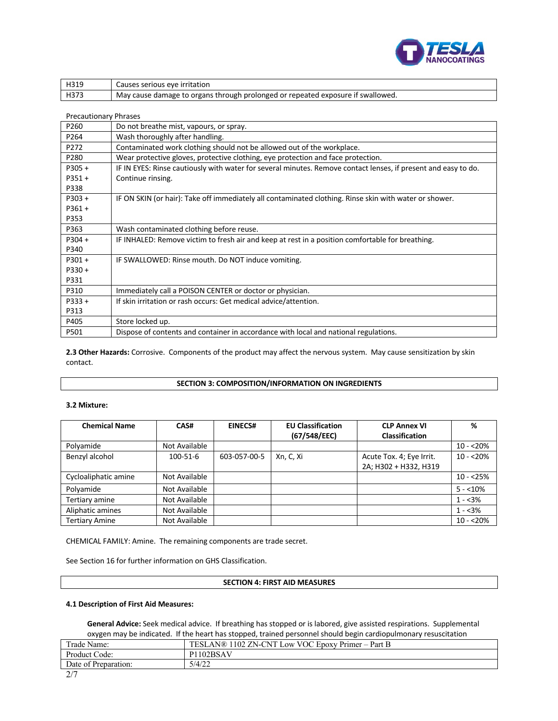

| H319 | Causes serious eve irritation                                                   |
|------|---------------------------------------------------------------------------------|
| H373 | May cause damage to organs through prolonged or repeated exposure if swallowed. |

# Precautionary Phrases

| P260     | Do not breathe mist, vapours, or spray.                                                                        |
|----------|----------------------------------------------------------------------------------------------------------------|
| P264     | Wash thoroughly after handling.                                                                                |
| P272     | Contaminated work clothing should not be allowed out of the workplace.                                         |
| P280     | Wear protective gloves, protective clothing, eye protection and face protection.                               |
| P305+    | IF IN EYES: Rinse cautiously with water for several minutes. Remove contact lenses, if present and easy to do. |
| P351+    | Continue rinsing.                                                                                              |
| P338     |                                                                                                                |
| P303+    | IF ON SKIN (or hair): Take off immediately all contaminated clothing. Rinse skin with water or shower.         |
| $P361 +$ |                                                                                                                |
| P353     |                                                                                                                |
| P363     | Wash contaminated clothing before reuse.                                                                       |
| P304+    | IF INHALED: Remove victim to fresh air and keep at rest in a position comfortable for breathing.               |
| P340     |                                                                                                                |
| P301+    | IF SWALLOWED: Rinse mouth. Do NOT induce vomiting.                                                             |
| $P330 +$ |                                                                                                                |
| P331     |                                                                                                                |
| P310     | Immediately call a POISON CENTER or doctor or physician.                                                       |
| $P333 +$ | If skin irritation or rash occurs: Get medical advice/attention.                                               |
| P313     |                                                                                                                |
| P405     | Store locked up.                                                                                               |
| P501     | Dispose of contents and container in accordance with local and national regulations.                           |

**2.3 Other Hazards:** Corrosive. Components of the product may affect the nervous system. May cause sensitization by skin contact.

# **SECTION 3: COMPOSITION/INFORMATION ON INGREDIENTS**

# **3.2 Mixture:**

| <b>Chemical Name</b>  | CAS#           | EINECS#      | <b>EU Classification</b><br>(67/548/EEC) | <b>CLP Annex VI</b><br><b>Classification</b>      | %          |
|-----------------------|----------------|--------------|------------------------------------------|---------------------------------------------------|------------|
| Polyamide             | Not Available  |              |                                          |                                                   | $10 - 20%$ |
| Benzyl alcohol        | $100 - 51 - 6$ | 603-057-00-5 | Xn, C, Xi                                | Acute Tox. 4; Eye Irrit.<br>2A; H302 + H332, H319 | $10 - 20%$ |
| Cycloaliphatic amine  | Not Available  |              |                                          |                                                   | $10 - 25%$ |
| Polyamide             | Not Available  |              |                                          |                                                   | $5 - 10\%$ |
| Tertiary amine        | Not Available  |              |                                          |                                                   | $1 - 3%$   |
| Aliphatic amines      | Not Available  |              |                                          |                                                   | $1 - 3%$   |
| <b>Tertiary Amine</b> | Not Available  |              |                                          |                                                   | $10 - 20%$ |

CHEMICAL FAMILY: Amine. The remaining components are trade secret.

See Section 16 for further information on GHS Classification.

# **SECTION 4: FIRST AID MEASURES**

# **4.1 Description of First Aid Measures:**

**General Advice:** Seek medical advice. If breathing has stopped or is labored, give assisted respirations. Supplemental oxygen may be indicated. If the heart has stopped, trained personnel should begin cardiopulmonary resuscitation

| $Trade_1$<br>Name:   | <b>TESI</b><br>VOC Epoxy Primer -<br>$\Delta N@$<br>102<br>-CNT<br>$^{\circ}$ ZN-C.<br>Part B<br>Low<br>— I |
|----------------------|-------------------------------------------------------------------------------------------------------------|
| Product Code:        | 1102BSAV<br>D1                                                                                              |
| Date of Preparation: | 5/4/22                                                                                                      |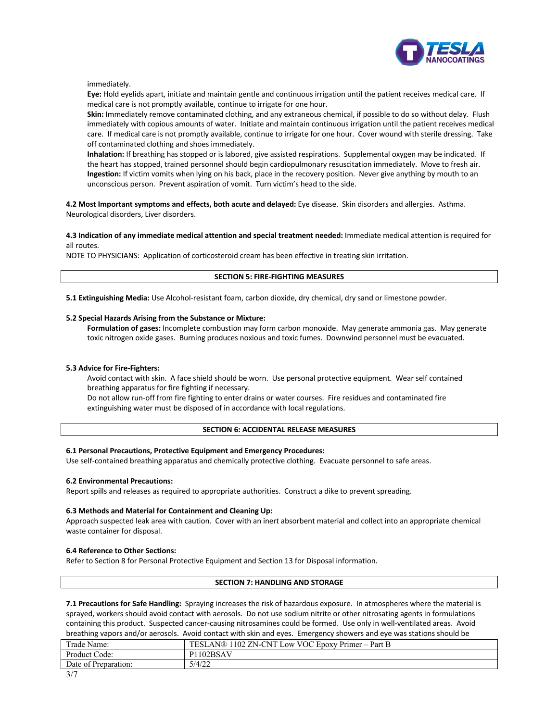

immediately.

**Eye:** Hold eyelids apart, initiate and maintain gentle and continuous irrigation until the patient receives medical care. If medical care is not promptly available, continue to irrigate for one hour.

**Skin:** Immediately remove contaminated clothing, and any extraneous chemical, if possible to do so without delay. Flush immediately with copious amounts of water. Initiate and maintain continuous irrigation until the patient receives medical care. If medical care is not promptly available, continue to irrigate for one hour. Cover wound with sterile dressing. Take off contaminated clothing and shoes immediately.

**Inhalation:** If breathing has stopped or is labored, give assisted respirations. Supplemental oxygen may be indicated. If the heart has stopped, trained personnel should begin cardiopulmonary resuscitation immediately. Move to fresh air. **Ingestion:** If victim vomits when lying on his back, place in the recovery position. Never give anything by mouth to an unconscious person. Prevent aspiration of vomit. Turn victim's head to the side.

**4.2 Most Important symptoms and effects, both acute and delayed:** Eye disease. Skin disorders and allergies. Asthma. Neurological disorders, Liver disorders.

**4.3 Indication of any immediate medical attention and special treatment needed:** Immediate medical attention is required for all routes.

NOTE TO PHYSICIANS: Application of corticosteroid cream has been effective in treating skin irritation.

# **SECTION 5: FIRE-FIGHTING MEASURES**

**5.1 Extinguishing Media:** Use Alcohol-resistant foam, carbon dioxide, dry chemical, dry sand or limestone powder.

### **5.2 Special Hazards Arising from the Substance or Mixture:**

**Formulation of gases:** Incomplete combustion may form carbon monoxide. May generate ammonia gas. May generate toxic nitrogen oxide gases. Burning produces noxious and toxic fumes. Downwind personnel must be evacuated.

# **5.3 Advice for Fire-Fighters:**

Avoid contact with skin. A face shield should be worn. Use personal protective equipment. Wear self contained breathing apparatus for fire fighting if necessary.

Do not allow run-off from fire fighting to enter drains or water courses. Fire residues and contaminated fire extinguishing water must be disposed of in accordance with local regulations.

# **SECTION 6: ACCIDENTAL RELEASE MEASURES**

# **6.1 Personal Precautions, Protective Equipment and Emergency Procedures:**

Use self-contained breathing apparatus and chemically protective clothing. Evacuate personnel to safe areas.

#### **6.2 Environmental Precautions:**

Report spills and releases as required to appropriate authorities. Construct a dike to prevent spreading.

#### **6.3 Methods and Material for Containment and Cleaning Up:**

Approach suspected leak area with caution. Cover with an inert absorbent material and collect into an appropriate chemical waste container for disposal.

# **6.4 Reference to Other Sections:**

Refer to Section 8 for Personal Protective Equipment and Section 13 for Disposal information.

# **SECTION 7: HANDLING AND STORAGE**

**7.1 Precautions for Safe Handling:** Spraying increases the risk of hazardous exposure. In atmospheres where the material is sprayed, workers should avoid contact with aerosols. Do not use sodium nitrite or other nitrosating agents in formulations containing this product. Suspected cancer-causing nitrosamines could be formed. Use only in well-ventilated areas. Avoid breathing vapors and/or aerosols. Avoid contact with skin and eyes. Emergency showers and eye was stations should be

| Trade Name:          | TESLAN®<br>1102 ZN-CNT<br>Low VOC Epoxy Primer – Part B |
|----------------------|---------------------------------------------------------|
| Product Code:        | P <sub>1102</sub> BSAV                                  |
| Date of Preparation: | 5/4/22                                                  |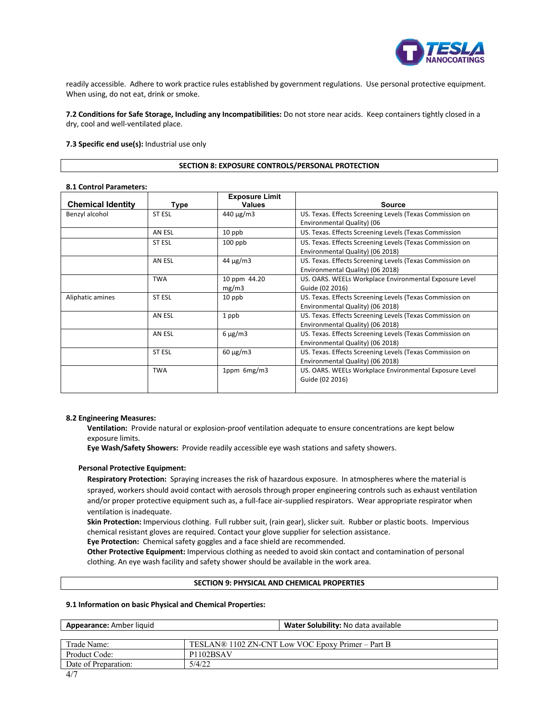

readily accessible. Adhere to work practice rules established by government regulations. Use personal protective equipment. When using, do not eat, drink or smoke.

**7.2 Conditions for Safe Storage, Including any Incompatibilities:** Do not store near acids. Keep containers tightly closed in a dry, cool and well-ventilated place.

# **7.3 Specific end use(s):** Industrial use only

#### **SECTION 8: EXPOSURE CONTROLS/PERSONAL PROTECTION**

### **8.1 Control Parameters:**

| <b>Chemical Identity</b> | Type          | <b>Exposure Limit</b><br><b>Values</b> | <b>Source</b>                                                                                |
|--------------------------|---------------|----------------------------------------|----------------------------------------------------------------------------------------------|
| Benzyl alcohol           | <b>ST ESL</b> | $440 \mu g/m3$                         | US. Texas. Effects Screening Levels (Texas Commission on<br>Environmental Quality) (06       |
|                          | AN ESL        | 10 ppb                                 | US. Texas. Effects Screening Levels (Texas Commission                                        |
|                          | ST ESL        | $100$ ppb                              | US. Texas. Effects Screening Levels (Texas Commission on<br>Environmental Quality) (06 2018) |
|                          | AN ESL        | $44 \mu g/m3$                          | US. Texas. Effects Screening Levels (Texas Commission on<br>Environmental Quality) (06 2018) |
|                          | <b>TWA</b>    | 10 ppm 44.20<br>mg/m3                  | US. OARS. WEELs Workplace Environmental Exposure Level<br>Guide (02 2016)                    |
| Aliphatic amines         | <b>ST ESL</b> | 10 ppb                                 | US. Texas. Effects Screening Levels (Texas Commission on<br>Environmental Quality) (06 2018) |
|                          | AN ESL        | 1 ppb                                  | US. Texas. Effects Screening Levels (Texas Commission on<br>Environmental Quality) (06 2018) |
|                          | AN ESL        | $6 \mu g/m3$                           | US. Texas. Effects Screening Levels (Texas Commission on<br>Environmental Quality) (06 2018) |
|                          | <b>ST ESL</b> | $60 \mu g/m3$                          | US. Texas. Effects Screening Levels (Texas Commission on<br>Environmental Quality) (06 2018) |
|                          | <b>TWA</b>    | 1ppm 6mg/m3                            | US. OARS. WEELs Workplace Environmental Exposure Level<br>Guide (02 2016)                    |

#### **8.2 Engineering Measures:**

**Ventilation:** Provide natural or explosion-proof ventilation adequate to ensure concentrations are kept below exposure limits.

**Eye Wash/Safety Showers:** Provide readily accessible eye wash stations and safety showers.

# **Personal Protective Equipment:**

**Respiratory Protection:** Spraying increases the risk of hazardous exposure. In atmospheres where the material is sprayed, workers should avoid contact with aerosols through proper engineering controls such as exhaust ventilation and/or proper protective equipment such as, a full-face air-supplied respirators. Wear appropriate respirator when ventilation is inadequate.

**Skin Protection:** Impervious clothing. Full rubber suit, (rain gear), slicker suit. Rubber or plastic boots. Impervious chemical resistant gloves are required. Contact your glove supplier for selection assistance.

**Eye Protection:** Chemical safety goggles and a face shield are recommended.

**Other Protective Equipment:** Impervious clothing as needed to avoid skin contact and contamination of personal clothing. An eye wash facility and safety shower should be available in the work area.

# **SECTION 9: PHYSICAL AND CHEMICAL PROPERTIES**

### **9.1 Information on basic Physical and Chemical Properties:**

| <b>Appearance:</b> Amber liquid | Water Solubility: No data available               |
|---------------------------------|---------------------------------------------------|
|                                 |                                                   |
| Trade Name:                     | TESLAN® 1102 ZN-CNT Low VOC Epoxy Primer – Part B |
| Product Code:                   | P <sub>1102</sub> BSAV                            |
| Date of Preparation:            | 5/4/22                                            |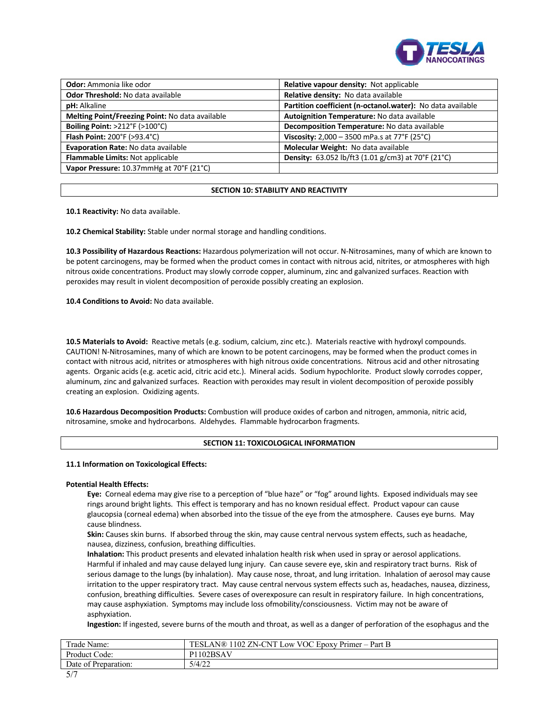

| <b>Odor:</b> Ammonia like odor                     | Relative vapour density: Not applicable                    |  |
|----------------------------------------------------|------------------------------------------------------------|--|
| Odor Threshold: No data available                  | Relative density: No data available                        |  |
| <b>pH:</b> Alkaline                                | Partition coefficient (n-octanol.water): No data available |  |
| Melting Point/Freezing Point: No data available    | Autoignition Temperature: No data available                |  |
| Boiling Point: $>212^{\circ}F$ ( $>100^{\circ}C$ ) | Decomposition Temperature: No data available               |  |
| Flash Point: 200°F (>93.4°C)                       | Viscosity: 2,000 - 3500 mPa.s at 77°F (25°C)               |  |
| Evaporation Rate: No data available                | Molecular Weight: No data available                        |  |
| Flammable Limits: Not applicable                   | Density: 63.052 lb/ft3 (1.01 g/cm3) at 70°F (21°C)         |  |
| Vapor Pressure: 10.37mmHg at 70°F (21°C)           |                                                            |  |

# **SECTION 10: STABILITY AND REACTIVITY**

**10.1 Reactivity:** No data available.

**10.2 Chemical Stability:** Stable under normal storage and handling conditions.

**10.3 Possibility of Hazardous Reactions:** Hazardous polymerization will not occur. N-Nitrosamines, many of which are known to be potent carcinogens, may be formed when the product comes in contact with nitrous acid, nitrites, or atmospheres with high nitrous oxide concentrations. Product may slowly corrode copper, aluminum, zinc and galvanized surfaces. Reaction with peroxides may result in violent decomposition of peroxide possibly creating an explosion.

**10.4 Conditions to Avoid:** No data available.

**10.5 Materials to Avoid:** Reactive metals (e.g. sodium, calcium, zinc etc.). Materials reactive with hydroxyl compounds. CAUTION! N-Nitrosamines, many of which are known to be potent carcinogens, may be formed when the product comes in contact with nitrous acid, nitrites or atmospheres with high nitrous oxide concentrations. Nitrous acid and other nitrosating agents. Organic acids (e.g. acetic acid, citric acid etc.). Mineral acids. Sodium hypochlorite. Product slowly corrodes copper, aluminum, zinc and galvanized surfaces. Reaction with peroxides may result in violent decomposition of peroxide possibly creating an explosion. Oxidizing agents.

**10.6 Hazardous Decomposition Products:** Combustion will produce oxides of carbon and nitrogen, ammonia, nitric acid, nitrosamine, smoke and hydrocarbons. Aldehydes. Flammable hydrocarbon fragments.

# **SECTION 11: TOXICOLOGICAL INFORMATION**

# **11.1 Information on Toxicological Effects:**

# **Potential Health Effects:**

**Eye:** Corneal edema may give rise to a perception of "blue haze" or "fog" around lights. Exposed individuals may see rings around bright lights. This effect is temporary and has no known residual effect. Product vapour can cause glaucopsia (corneal edema) when absorbed into the tissue of the eye from the atmosphere. Causes eye burns. May cause blindness.

**Skin:** Causes skin burns. If absorbed throug the skin, may cause central nervous system effects, such as headache, nausea, dizziness, confusion, breathing difficulties.

**Inhalation:** This product presents and elevated inhalation health risk when used in spray or aerosol applications. Harmful if inhaled and may cause delayed lung injury. Can cause severe eye, skin and respiratory tract burns. Risk of serious damage to the lungs (by inhalation). May cause nose, throat, and lung irritation. Inhalation of aerosol may cause irritation to the upper respiratory tract. May cause central nervous system effects such as, headaches, nausea, dizziness, confusion, breathing difficulties. Severe cases of overexposure can result in respiratory failure. In high concentrations, may cause asphyxiation. Symptoms may include loss ofmobility/consciousness. Victim may not be aware of asphyxiation.

**Ingestion:** If ingested, severe burns of the mouth and throat, as well as a danger of perforation of the esophagus and the

| Frade Name:          | 1102 ZN-CNT Low VOC Epoxy Primer – Part B<br>TESLAN® |
|----------------------|------------------------------------------------------|
| Product Code:        | 102BSAV<br>D1                                        |
| Date of Preparation: | 5/4/22                                               |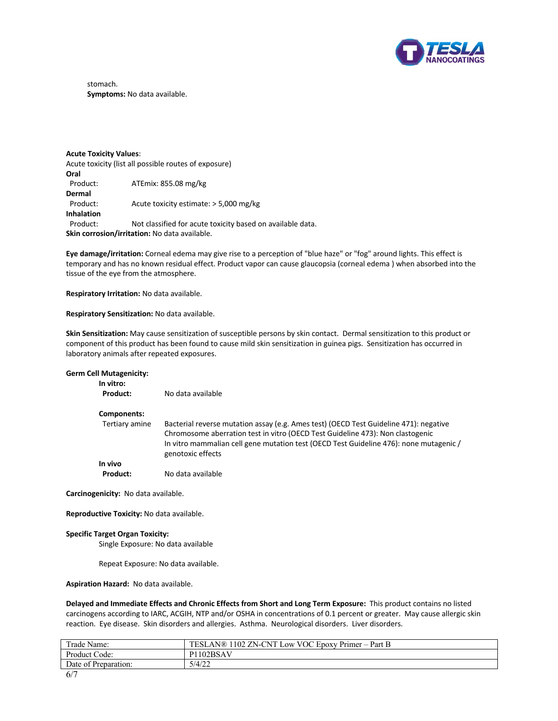

stomach. **Symptoms:** No data available.

**Acute Toxicity Values**: Acute toxicity (list all possible routes of exposure) **Oral** ATEmix: 855.08 mg/kg **Dermal** Product: Acute toxicity estimate: > 5,000 mg/kg **Inhalation** Product: Not classified for acute toxicity based on available data. **Skin corrosion/irritation:** No data available.

**Eye damage/irritation:** Corneal edema may give rise to a perception of "blue haze" or "fog" around lights. This effect is temporary and has no known residual effect. Product vapor can cause glaucopsia (corneal edema ) when absorbed into the tissue of the eye from the atmosphere.

**Respiratory Irritation:** No data available.

**Respiratory Sensitization:** No data available.

**Skin Sensitization:** May cause sensitization of susceptible persons by skin contact. Dermal sensitization to this product or component of this product has been found to cause mild skin sensitization in guinea pigs. Sensitization has occurred in laboratory animals after repeated exposures.

| <b>Germ Cell Mutagenicity:</b><br>In vitro: |                                                                                                                                                                                                                                                                                        |
|---------------------------------------------|----------------------------------------------------------------------------------------------------------------------------------------------------------------------------------------------------------------------------------------------------------------------------------------|
| Product:                                    | No data available                                                                                                                                                                                                                                                                      |
| Components:                                 |                                                                                                                                                                                                                                                                                        |
| Tertiary amine                              | Bacterial reverse mutation assay (e.g. Ames test) (OECD Test Guideline 471): negative<br>Chromosome aberration test in vitro (OECD Test Guideline 473): Non clastogenic<br>In vitro mammalian cell gene mutation test (OECD Test Guideline 476): none mutagenic /<br>genotoxic effects |
| In vivo                                     |                                                                                                                                                                                                                                                                                        |
| Product:                                    | No data available                                                                                                                                                                                                                                                                      |
| Carcinogenicity: No data available.         |                                                                                                                                                                                                                                                                                        |

**Reproductive Toxicity:** No data available.

# **Specific Target Organ Toxicity:**

Single Exposure: No data available

Repeat Exposure: No data available.

**Aspiration Hazard:** No data available.

**Delayed and Immediate Effects and Chronic Effects from Short and Long Term Exposure:** This product contains no listed carcinogens according to IARC, ACGIH, NTP and/or OSHA in concentrations of 0.1 percent or greater. May cause allergic skin reaction. Eye disease. Skin disorders and allergies. Asthma. Neurological disorders. Liver disorders.

| Trade Name:          | 1102 ZN-CNT<br>VOC Epoxy Primer-<br><b>TESLAN®</b><br>Part B<br>Low |
|----------------------|---------------------------------------------------------------------|
| Product<br>Code:     | P <sub>1102</sub> BSAV                                              |
| Date of Preparation: | 5/4/22                                                              |
|                      |                                                                     |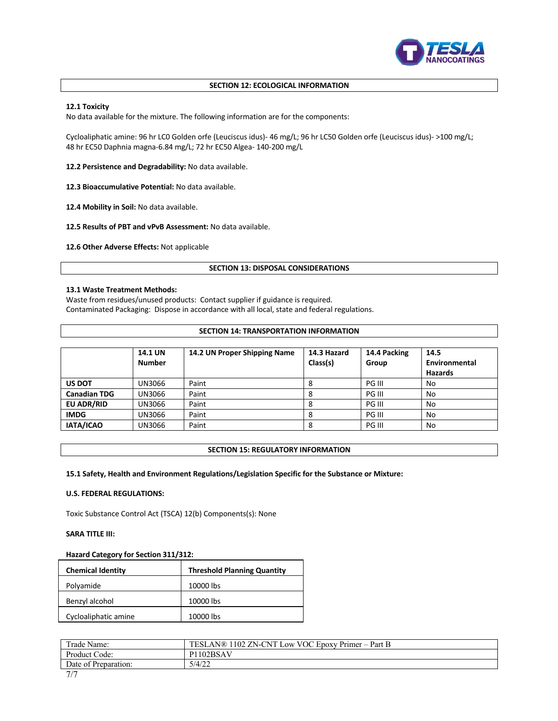

# **SECTION 12: ECOLOGICAL INFORMATION**

# **12.1 Toxicity**

No data available for the mixture. The following information are for the components:

Cycloaliphatic amine: 96 hr LC0 Golden orfe (Leuciscus idus)- 46 mg/L; 96 hr LC50 Golden orfe (Leuciscus idus)- >100 mg/L; 48 hr EC50 Daphnia magna-6.84 mg/L; 72 hr EC50 Algea- 140-200 mg/L

**12.2 Persistence and Degradability:** No data available.

**12.3 Bioaccumulative Potential:** No data available.

**12.4 Mobility in Soil:** No data available.

**12.5 Results of PBT and vPvB Assessment:** No data available.

**12.6 Other Adverse Effects:** Not applicable

### **SECTION 13: DISPOSAL CONSIDERATIONS**

# **13.1 Waste Treatment Methods:**

Waste from residues/unused products: Contact supplier if guidance is required. Contaminated Packaging: Dispose in accordance with all local, state and federal regulations.

### **SECTION 14: TRANSPORTATION INFORMATION**

|                     | <b>14.1 UN</b><br><b>Number</b> | 14.2 UN Proper Shipping Name | 14.3 Hazard<br>Class(s) | 14.4 Packing<br>Group | 14.5<br>Environmental<br><b>Hazards</b> |
|---------------------|---------------------------------|------------------------------|-------------------------|-----------------------|-----------------------------------------|
| <b>US DOT</b>       | UN3066                          | Paint                        | 8                       | PG III                | No                                      |
| <b>Canadian TDG</b> | UN3066                          | Paint                        | 8                       | PG III                | No                                      |
| <b>EU ADR/RID</b>   | UN3066                          | Paint                        | 8                       | PG III                | No                                      |
| <b>IMDG</b>         | UN3066                          | Paint                        | 8                       | PG III                | No                                      |
| IATA/ICAO           | UN3066                          | Paint                        | 8                       | PG III                | No                                      |

# **SECTION 15: REGULATORY INFORMATION**

# **15.1 Safety, Health and Environment Regulations/Legislation Specific for the Substance or Mixture:**

# **U.S. FEDERAL REGULATIONS:**

Toxic Substance Control Act (TSCA) 12(b) Components(s): None

# **SARA TITLE III:**

# **Hazard Category for Section 311/312:**

| <b>Chemical Identity</b> | <b>Threshold Planning Quantity</b> |
|--------------------------|------------------------------------|
| Polyamide                | 10000 lbs                          |
| Benzyl alcohol           | 10000 lbs                          |
| Cycloaliphatic amine     | 10000 lbs                          |

| Trade Name:          | TESLAN® 1102 ZN-CNT Low VOC Epoxy Primer – Part B |
|----------------------|---------------------------------------------------|
| Product Code:        | 102BSAV                                           |
| Date of Preparation: | 5/4/22                                            |
| $-1$                 |                                                   |